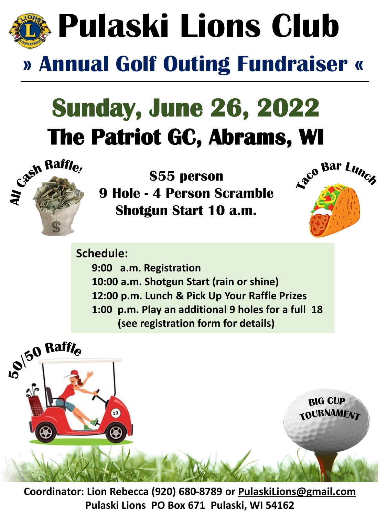

## **Sunday, June 26, 2022**





**Schedule: 9:00 a.m. Registration 10:00 a.m. Shotgun Start (rain or shine) 12:00 p.m. Lunch & Pick Up Your Raffle Prizes 1:00 p.m. Play an additional 9 holes for a full 18 (see registration form for details)**



**Coordinator: Lion Rebecca (920) 680-8789 or [PulaskiLions@gmail.com](mailto:PulaskiLions@gmail.com) Pulaski Lions PO Box 671 Pulaski, WI 54162**